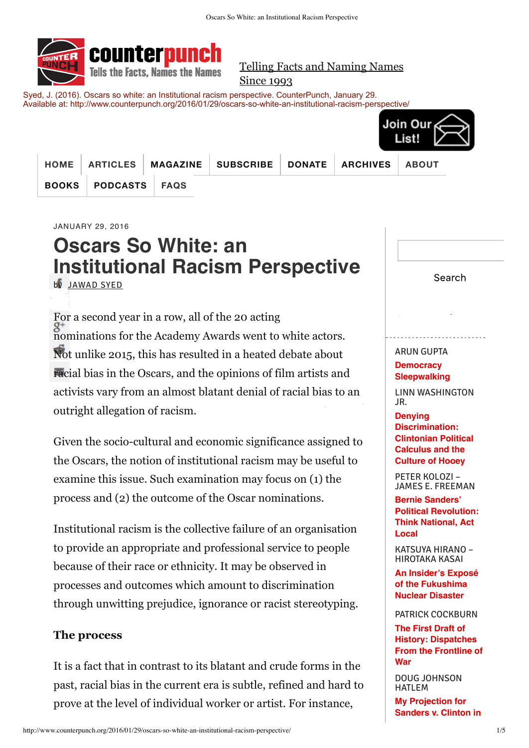

Telling Facts and Naming Names Since 1993

Syed, J. (2016). Oscars so white: an Institutional racism perspective. CounterPunch, January 29. Available at: http://www.counterpunch.org/2016/01/29/oscars-so-white-an-institutional-racism-perspective/



| HOME         |               | ARTICLES   MAGAZINE   SUBSCRIBE   DONATE   ARCHIVES   ABOUT |  |  |
|--------------|---------------|-------------------------------------------------------------|--|--|
| <b>BOOKS</b> | PODCASTS FAQS |                                                             |  |  |

JANUARY 29, 2016

# **Oscars So White: an [Institutional](http://www.counterpunch.org/2016/01/29/oscars-so-white-an-institutional-racism-perspective/) Racism Perspective**

[by](http://www.counterpunch.org/#facebook) [JAWAD](http://www.counterpunch.org/author/jawad-syed/) SYED

[For](http://www.counterpunch.org/#twitter) a second year in a row, all of the 20 acting [nom](http://www.counterpunch.org/#google_plus)inations for the Academy Awards went to white actors. [Not](http://www.counterpunch.org/#reddit) unlike 2015, this has resulted in a heated debate about [raci](http://www.counterpunch.org/#email)al bias in the Oscars, and the opinions of film artists and activists vary from an almost blatant denial of racial bias to an outright allegation of racism.

Given the socio-cultural and economic significance assigned to the Oscars, the notion of institutional racism may be useful to examine this issue. Such examination may focus on (1) the process and (2) the outcome of the Oscar nominations.

Institutional racism is the collective failure of an organisation to provide an appropriate and professional service to people because of their race or ethnicity. It may be observed in processes and outcomes which amount to discrimination through unwitting prejudice, ignorance or racist stereotyping.

# **The process**

It is a fact that in contrast to its blatant and crude forms in the past, racial bias in the current era is subtle, refined and hard to prove at the level of individual worker or artist. For instance,

Search

Tweet

# ARUN GUPTA

**April 19, [2016](https://twitter.com/intent/tweet?original_referer=http%3A%2F%2Fwww.counterpunch.org%2F2016%2F01%2F29%2Foscars-so-white-an-institutional-racism-perspective%2F&ref_src=twsrc%5Etfw&text=Oscars%20So%20White%3A%20an%20Institutional%20Racism%20Perspective&tw_p=tweetbutton&url=http%3A%2F%2Fwww.counterpunch.org%2F2016%2F01%2F29%2Foscars-so-white-an-institutional-racism-perspective%2F)**

**Democracy**<br>[Sleepwalking](http://www.counterpunch.org/2016/04/19/democracy-sleepwalking/) **Democracy**

LINN WASHINGTON JR.

**Denying [Discrimination:](http://www.counterpunch.org/2016/04/19/denying-discrimination-clintonian-political-calculus-and-the-culture-of-hooey/) Clintonian Political Calculus and the Culture of Hooey**

PETER KOLOZI – JAMES E. FREEMAN

**Bernie Sanders' Political [Revolution:](http://www.counterpunch.org/2016/04/19/bernie-sanders-political-revolution-think-national-act-local/) Think National, Act Local**

KATSUYA HIRANO – HIROTAKA KASAI

**An Insider's Exposé of the [Fukushima](http://www.counterpunch.org/2016/04/19/an-insiders-expose-of-the-fukushima-nuclear-disaster/) Nuclear Disaster**

PATRICK COCKBURN **The First Draft of History: [Dispatches](http://www.counterpunch.org/2016/04/19/the-first-draft-of-history-dispatches-from-the-frontline-of-war/) From the Frontline of War**

DOUG JOHNSON HATLEM

**My [Projection](http://www.counterpunch.org/2016/04/19/my-projection-for-sanders-v-clinton-in-new-yorks-primary/) for Sanders v. Clinton in**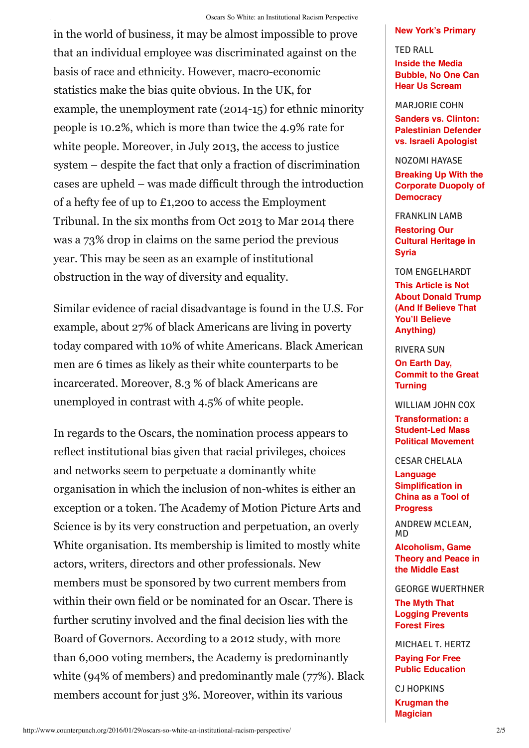#### Oscars So White: an Institutional Racism Perspective

in the world of business, it may be almost impossible to prove that an individual employee was discriminated against on the basis of race and ethnicity. However, macro-economic statistics make the bias quite obvious. In the UK, for example, the unemployment rate (2014-15) for ethnic minority people is 10.2%, which is more than twice the 4.9% rate for white people. Moreover, in July 2013, the access to justice system – despite the fact that only a fraction of discrimination cases are upheld – was made difficult through the introduction of a hefty fee of up to £1,200 to access the Employment Tribunal. In the six months from Oct 2013 to Mar 2014 there was a 73% drop in claims on the same period the previous year. This may be seen as an example of institutional obstruction in the way of diversity and equality.

Similar evidence of racial disadvantage is found in the U.S. For example, about 27% of black Americans are living in poverty today compared with 10% of white Americans. Black American men are 6 times as likely as their white counterparts to be incarcerated. Moreover, 8.3 % of black Americans are unemployed in contrast with 4.5% of white people.

In regards to the Oscars, the nomination process appears to reflect institutional bias given that racial privileges, choices and networks seem to perpetuate a dominantly white organisation in which the inclusion of non-whites is either an exception or a token. The Academy of Motion Picture Arts and Science is by its very construction and perpetuation, an overly White organisation. Its membership is limited to mostly white actors, writers, directors and other professionals. New members must be sponsored by two current members from within their own field or be nominated for an Oscar. There is further scrutiny involved and the final decision lies with the Board of Governors. According to a 2012 study, with more than 6,000 voting members, the Academy is predominantly white (94% of members) and predominantly male (77%). Black members account for just 3%. Moreover, within its various

## **New York's [Primary](http://www.counterpunch.org/2016/04/19/my-projection-for-sanders-v-clinton-in-new-yorks-primary/)**

TED RALL **Inside the Media [Bubble,](http://www.counterpunch.org/2016/04/19/inside-the-media-bubble-no-one-can-hear-us-scream/) No One Can Hear Us Scream**

## MARJORIE COHN

**Sanders vs. Clinton: [Palestinian](http://www.counterpunch.org/2016/04/19/sanders-vs-clinton-palestinian-defender-vs-israeli-apologist/) Defender vs. Israeli Apologist**

# NOZOMI HAYASE

**Breaking Up With the Corporate Duopoly of [Democracy](http://www.counterpunch.org/2016/04/19/breaking-up-with-the-corporate-duopoly-of-democracy/)**

FRANKLIN LAMB

**[Restoring](http://www.counterpunch.org/2016/04/19/restoring-our-cultural-heritage-in-syria/) Our Cultural Heritage in Syria**

## TOM ENGELHARDT

**This Article is Not About Donald Trump (And If Believe That You'll Believe [Anything\)](http://www.counterpunch.org/2016/04/19/this-article-is-not-about-donald-trump-and-if-believe-that-youll-believe-anything/)**

RIVERA SUN

**On Earth Day, [Commit](http://www.counterpunch.org/2016/04/19/on-earth-day-commit-to-the-great-turning/) to the Great Turning**

WILLIAM JOHN COX

**[Transformation:](http://www.counterpunch.org/2016/04/19/transformation-a-student-led-mass-political-movement/) a Student-Led Mass Political Movement**

# CESAR CHELALA

**Language [Simplification](http://www.counterpunch.org/2016/04/19/language-simplification-in-china-as-a-tool-of-progress/) in China as a Tool of Progress**

ANDREW MCLEAN, MD

**[Alcoholism,](http://www.counterpunch.org/2016/04/19/alcoholism-game-theory-and-peace-in-the-middle-east/) Game Theory and Peace in the Middle East**

### GEORGE WUERTHNER

**The Myth That Logging [Prevents](http://www.counterpunch.org/2016/04/19/the-myth-that-logging-prevents-forest-fires/) Forest Fires**

MICHAEL T. HERTZ

**Paying For Free Public [Education](http://www.counterpunch.org/2016/04/19/paying-for-free-public-education/)**

CJ HOPKINS **[Krugman](http://www.counterpunch.org/2016/04/19/krugman-the-magician/) the Magician**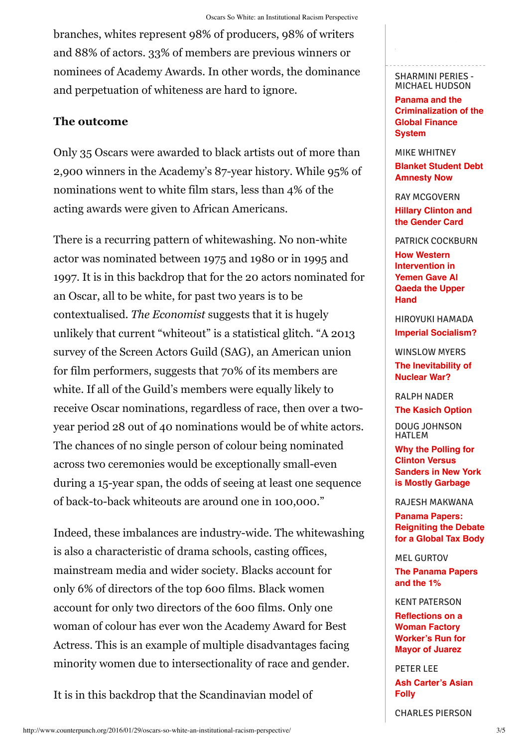branches, whites represent 98% of producers, 98% of writers and 88% of actors. 33% of members are previous winners or nominees of Academy Awards. In other words, the dominance and perpetuation of whiteness are hard to ignore.

# **The outcome**

Only 35 Oscars were awarded to black artists out of more than 2,900 winners in the Academy's 87-year history. While 95% of nominations went to white film stars, less than 4% of the acting awards were given to African Americans.

There is a recurring pattern of whitewashing. No non-white actor was nominated between 1975 and 1980 or in 1995 and 1997. It is in this backdrop that for the 20 actors nominated for an Oscar, all to be white, for past two years is to be contextualised. *The Economist* suggests that it is hugely unlikely that current "whiteout" is a statistical glitch. "A 2013 survey of the Screen Actors Guild (SAG), an American union for film performers, suggests that 70% of its members are white. If all of the Guild's members were equally likely to receive Oscar nominations, regardless of race, then over a twoyear period 28 out of 40 nominations would be of white actors. The chances of no single person of colour being nominated across two ceremonies would be exceptionally small-even during a 15-year span, the odds of seeing at least one sequence of back-to-back whiteouts are around one in 100,000."

Indeed, these imbalances are industry-wide. The whitewashing is also a characteristic of drama schools, casting offices, mainstream media and wider society. Blacks account for only 6% of directors of the top 600 films. Black women account for only two directors of the 600 films. Only one woman of colour has ever won the Academy Award for Best Actress. This is an example of multiple disadvantages facing minority women due to intersectionality of race and gender.

It is in this backdrop that the Scandinavian model of

**April 18, 2016**

**Panama and the [Criminalization](http://www.counterpunch.org/2016/04/18/panama-and-the-criminalization-of-the-global-finance-system/) of the Global Finance System**

MIKE WHITNEY **Blanket Student Debt [Amnesty](http://www.counterpunch.org/2016/04/18/blanket-student-debt-amnesty-now/) Now**

RAY MCGOVERN **Hillary [Clinton](http://www.counterpunch.org/2016/04/18/hillary-clinton-and-the-gender-card/) and the Gender Card**

PATRICK COCKBURN

**How Western [Intervention](http://www.counterpunch.org/2016/04/18/how-western-intervention-in-yemen-gave-al-qaeda-the-upper-hand/) in Yemen Gave Al Qaeda the Upper Hand**

HIROYUKI HAMADA **Imperial [Socialism?](http://www.counterpunch.org/2016/04/18/imperial-socialism/)**

WINSLOW MYERS **The [Inevitability](http://www.counterpunch.org/2016/04/18/the-inevitability-of-nuclear-war/) of Nuclear War?**

RALPH NADER

**The [Kasich](http://www.counterpunch.org/2016/04/18/the-kasich-option/) Option**

DOUG JOHNSON HATLEM

**Why the Polling for Clinton Versus Sanders in New York is Mostly [Garbage](http://www.counterpunch.org/2016/04/18/polling-for-clinton-versus-sanders-in-new-york-is-mostly-garbage/)**

RAJESH MAKWANA

**Panama Papers: [Reigniting](http://www.counterpunch.org/2016/04/18/panama-papers-reigniting-the-debate-for-a-global-tax-body/) the Debate for a Global Tax Body**

MEL GURTOV **The [Panama](http://www.counterpunch.org/2016/04/18/the-panama-papers-and-the-1/) Papers and the 1%**

KENT PATERSON **[Reflections](http://www.counterpunch.org/2016/04/18/reflections-on-a-woman-factory-workers-run-for-mayor-of-juarez/) on a Woman Factory Worker's Run for Mayor of Juarez**

PETER LEE **Ash [Carter's](http://www.counterpunch.org/2016/04/18/ash-carters-asian-folly/) Asian Folly**

CHARLES PIERSON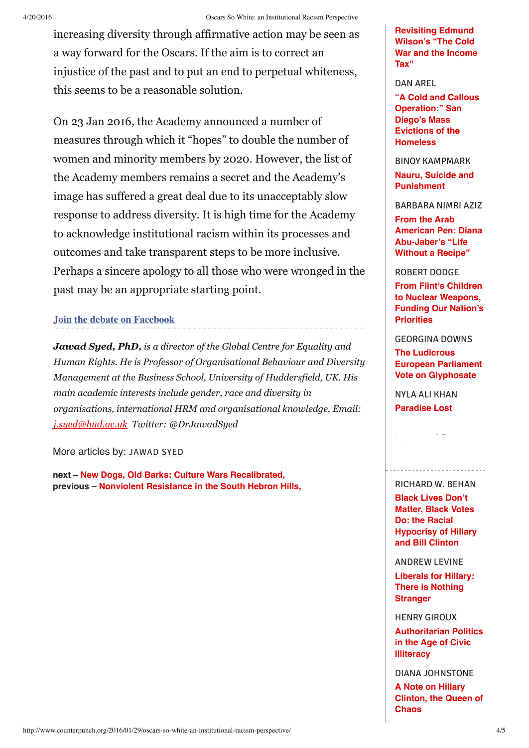increasing diversity through affirmative action may be seen as a way forward for the Oscars. If the aim is to correct an injustice of the past and to put an end to perpetual whiteness, this seems to be a reasonable solution.

On 23 Jan 2016, the Academy announced a number of measures through which it "hopes" to double the number of women and minority members by 2020. However, the list of the Academy members remains a secret and the Academy's image has suffered a great deal due to its unacceptably slow response to address diversity. It is high time for the Academy to acknowledge institutional racism within its processes and outcomes and take transparent steps to be more inclusive. Perhaps a sincere apology to all those who were wronged in the past may be an appropriate starting point.

# **Join the debate on [Facebook](https://www.facebook.com/CounterPunch-official-172470146144666/)**

*Jawad Syed, PhD, is a director of the Global Centre for Equality and Human Rights. He is Professor of Organisational Behaviour and Diversity Management at the Business School, University of Huddersfield, UK. His main academic interests include gender, race and diversity in organisations, international HRM and organisational knowledge. Email: [j.syed@hud.ac.uk](mailto:j.syed@hud.ac.uk) Twitter: @DrJawadSyed*

More articles by: [JAWAD](http://www.counterpunch.org/author/jawad-syed/) SYED

**next – New Dogs, Old Barks: Culture Wars [Recalibrated,](http://www.counterpunch.org/2016/01/29/new-dogs-old-barks-culture-wars-recalibrated/) previous – Nonviolent [Resistance](http://www.counterpunch.org/2016/01/29/nonviolent-resistance-in-the-south-hebron-hills/) in the South Hebron Hills,** **[Revisiting](http://www.counterpunch.org/2016/04/18/revisiting-edmund-wilsons-the-cold-war-and-the-income-tax/) Edmund Wilson's "The Cold War and the Income Tax"**

# DAN AREL

**"A Cold and Callous [Operation:"](http://www.counterpunch.org/2016/04/18/a-cold-and-callous-operation-san-diegos-mass-evictions-of-the-homeless/) San Diego's Mass Evictions of the Homeless**

BINOY KAMPMARK

**Nauru, Suicide and [Punishment](http://www.counterpunch.org/2016/04/18/nauru-suicide-and-punishment/)**

BARBARA NIMRI AZIZ

**From the Arab American Pen: Diana [Abu-Jaber's](http://www.counterpunch.org/2016/04/18/from-the-arab-american-pen-diana-abu-jabers-life-without-a-recipe/) "Life Without a Recipe"**

# ROBERT DODGE

**From Flint's Children to Nuclear [Weapons,](http://www.counterpunch.org/2016/04/18/from-flints-children-to-nuclear-weapons-funding-our-nations-priorities/) Funding Our Nation's Priorities**

GEORGINA DOWNS

**The Ludicrous European Parliament Vote on [Glyphosate](http://www.counterpunch.org/2016/04/18/the-ludicrous-european-parliament-vote-on-glyphosate/)**

NYLA ALI KHAN **[Paradise](http://www.counterpunch.org/2016/04/18/paradise-lost/) Lost**

# RICHARD W. BEHAN

**April 15-17, 2016**

**Black Lives Don't Matter, Black Votes Do: the Racial [Hypocrisy](http://www.counterpunch.org/2016/04/15/black-lives-dont-matter-black-votes-do-the-racial-hypocrisy-of-hillary-and-bill-clinton/) of Hillary and Bill Clinton**

ANDREW LEVINE

**Liberals for Hillary: There is Nothing [Stranger](http://www.counterpunch.org/2016/04/15/liberals-for-hillary-there-is-nothing-stranger/)**

HENRY GIROUX

**[Authoritarian](http://www.counterpunch.org/2016/04/15/authoritarian-politics-in-the-age-of-civic-illiteracy/) Politics in the Age of Civic Illiteracy**

DIANA JOHNSTONE

**A Note on Hillary [Clinton,](http://www.counterpunch.org/2016/04/15/a-note-on-hillary-clinton-the-queen-of-chaos/) the Queen of Chaos**